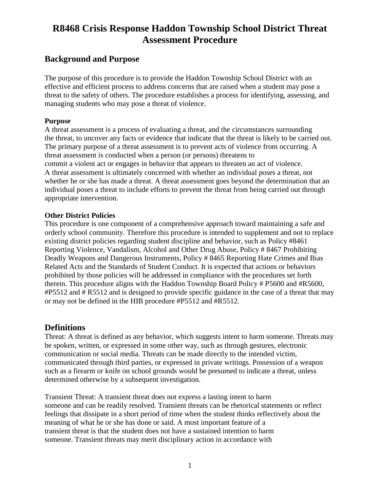### **Background and Purpose**

The purpose of this procedure is to provide the Haddon Township School District with an effective and efficient process to address concerns that are raised when a student may pose a threat to the safety of others. The procedure establishes a process for identifying, assessing, and managing students who may pose a threat of violence.

#### **Purpose**

A threat assessment is a process of evaluating a threat, and the circumstances surrounding the threat, to uncover any facts or evidence that indicate that the threat is likely to be carried out. The primary purpose of a threat assessment is to prevent acts of violence from occurring. A threat assessment is conducted when a person (or persons) threatens to commit a violent act or engages in behavior that appears to threaten an act of violence. A threat assessment is ultimately concerned with whether an individual poses a threat, not whether he or she has made a threat. A threat assessment goes beyond the determination that an individual poses a threat to include efforts to prevent the threat from being carried out through appropriate intervention.

#### **Other District Policies**

This procedure is one component of a comprehensive approach toward maintaining a safe and orderly school community. Therefore this procedure is intended to supplement and not to replace existing district policies regarding student discipline and behavior, such as Policy #8461 Reporting Violence, Vandalism, Alcohol and Other Drug Abuse, Policy # 8467 Prohibiting Deadly Weapons and Dangerous Instruments, Policy # 8465 Reporting Hate Crimes and Bias Related Acts and the Standards of Student Conduct. It is expected that actions or behaviors prohibited by those policies will be addressed in compliance with the procedures set forth therein. This procedure aligns with the Haddon Township Board Policy # P5600 and #R5600, #P5512 and # R5512 and is designed to provide specific guidance in the case of a threat that may or may not be defined in the HIB procedure #P5512 and #R5512.

### **Definitions**

Threat: A threat is defined as any behavior, which suggests intent to harm someone. Threats may be spoken, written, or expressed in some other way, such as through gestures, electronic communication or social media. Threats can be made directly to the intended victim, communicated through third parties, or expressed in private writings. Possession of a weapon such as a firearm or knife on school grounds would be presumed to indicate a threat, unless determined otherwise by a subsequent investigation.

Transient Threat: A transient threat does not express a lasting intent to harm someone and can be readily resolved. Transient threats can be rhetorical statements or reflect feelings that dissipate in a short period of time when the student thinks reflectively about the meaning of what he or she has done or said. A most important feature of a transient threat is that the student does not have a sustained intention to harm someone. Transient threats may merit disciplinary action in accordance with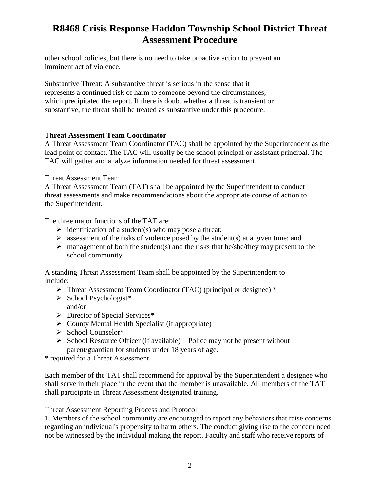other school policies, but there is no need to take proactive action to prevent an imminent act of violence.

Substantive Threat: A substantive threat is serious in the sense that it represents a continued risk of harm to someone beyond the circumstances, which precipitated the report. If there is doubt whether a threat is transient or substantive, the threat shall be treated as substantive under this procedure.

#### **Threat Assessment Team Coordinator**

A Threat Assessment Team Coordinator (TAC) shall be appointed by the Superintendent as the lead point of contact. The TAC will usually be the school principal or assistant principal. The TAC will gather and analyze information needed for threat assessment.

#### Threat Assessment Team

A Threat Assessment Team (TAT) shall be appointed by the Superintendent to conduct threat assessments and make recommendations about the appropriate course of action to the Superintendent.

The three major functions of the TAT are:

- $\triangleright$  identification of a student(s) who may pose a threat;
- $\triangleright$  assessment of the risks of violence posed by the student(s) at a given time; and
- $\triangleright$  management of both the student(s) and the risks that he/she/they may present to the school community.

A standing Threat Assessment Team shall be appointed by the Superintendent to Include:

- Threat Assessment Team Coordinator (TAC) (principal or designee) \*
- $\triangleright$  School Psychologist<sup>\*</sup> and/or
- Director of Special Services\*
- $\triangleright$  County Mental Health Specialist (if appropriate)
- $\triangleright$  School Counselor\*
- $\triangleright$  School Resource Officer (if available) Police may not be present without parent/guardian for students under 18 years of age.

\* required for a Threat Assessment

Each member of the TAT shall recommend for approval by the Superintendent a designee who shall serve in their place in the event that the member is unavailable. All members of the TAT shall participate in Threat Assessment designated training.

Threat Assessment Reporting Process and Protocol

1. Members of the school community are encouraged to report any behaviors that raise concerns regarding an individual's propensity to harm others. The conduct giving rise to the concern need not be witnessed by the individual making the report. Faculty and staff who receive reports of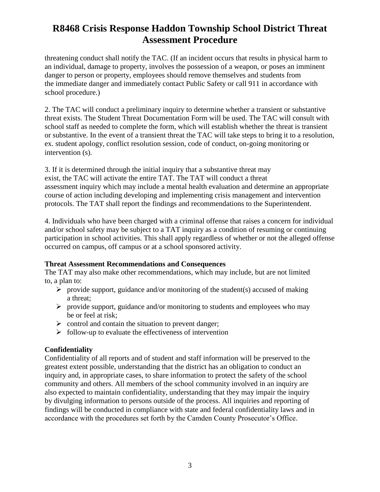threatening conduct shall notify the TAC. (If an incident occurs that results in physical harm to an individual, damage to property, involves the possession of a weapon, or poses an imminent danger to person or property, employees should remove themselves and students from the immediate danger and immediately contact Public Safety or call 911 in accordance with school procedure.)

2. The TAC will conduct a preliminary inquiry to determine whether a transient or substantive threat exists. The Student Threat Documentation Form will be used. The TAC will consult with school staff as needed to complete the form, which will establish whether the threat is transient or substantive. In the event of a transient threat the TAC will take steps to bring it to a resolution, ex. student apology, conflict resolution session, code of conduct, on-going monitoring or intervention (s).

3. If it is determined through the initial inquiry that a substantive threat may exist, the TAC will activate the entire TAT. The TAT will conduct a threat assessment inquiry which may include a mental health evaluation and determine an appropriate course of action including developing and implementing crisis management and intervention protocols. The TAT shall report the findings and recommendations to the Superintendent.

4. Individuals who have been charged with a criminal offense that raises a concern for individual and/or school safety may be subject to a TAT inquiry as a condition of resuming or continuing participation in school activities. This shall apply regardless of whether or not the alleged offense occurred on campus, off campus or at a school sponsored activity.

#### **Threat Assessment Recommendations and Consequences**

The TAT may also make other recommendations, which may include, but are not limited to, a plan to:

- $\triangleright$  provide support, guidance and/or monitoring of the student(s) accused of making a threat;
- $\triangleright$  provide support, guidance and/or monitoring to students and employees who may be or feel at risk;
- $\triangleright$  control and contain the situation to prevent danger;
- $\triangleright$  follow-up to evaluate the effectiveness of intervention

#### **Confidentiality**

Confidentiality of all reports and of student and staff information will be preserved to the greatest extent possible, understanding that the district has an obligation to conduct an inquiry and, in appropriate cases, to share information to protect the safety of the school community and others. All members of the school community involved in an inquiry are also expected to maintain confidentiality, understanding that they may impair the inquiry by divulging information to persons outside of the process. All inquiries and reporting of findings will be conducted in compliance with state and federal confidentiality laws and in accordance with the procedures set forth by the Camden County Prosecutor's Office.